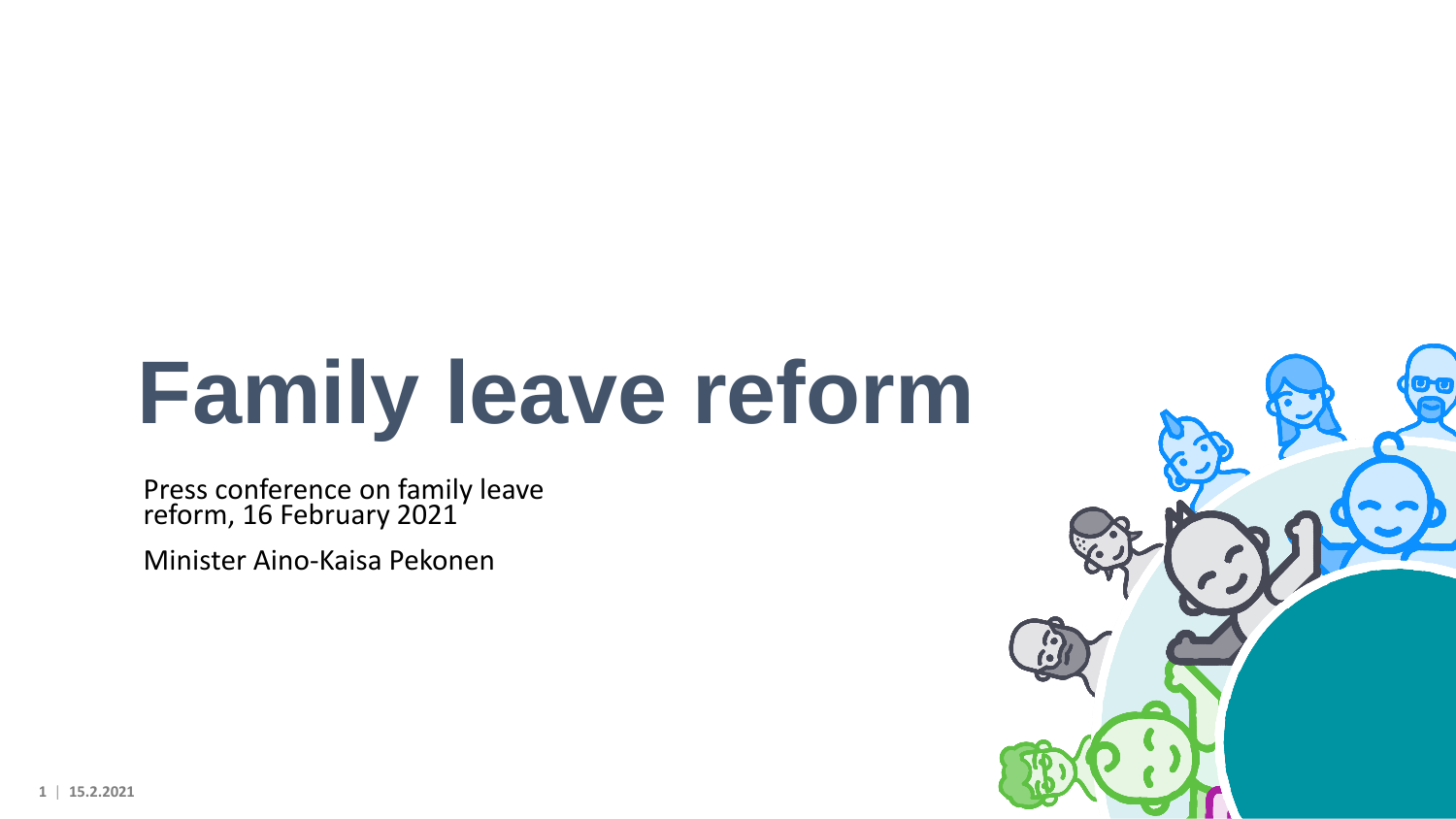# **Family leave reform**

Press conference on family leave reform, 16 February 2021

Minister Aino-Kaisa Pekonen



**1** | **15.2.2021**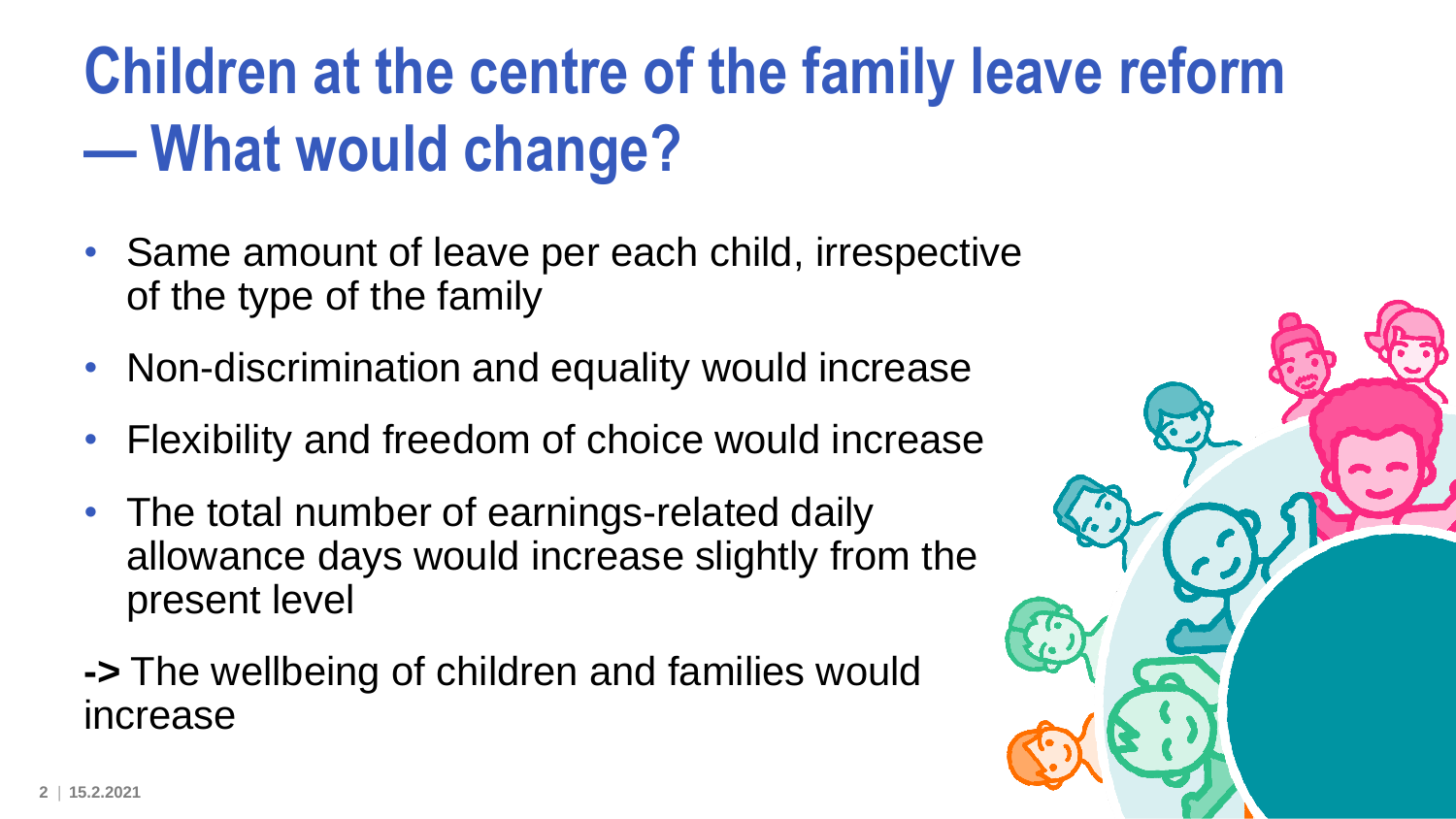# **Children at the centre of the family leave reform — What would change?**

- Same amount of leave per each child, irrespective of the type of the family
- Non-discrimination and equality would increase
- Flexibility and freedom of choice would increase
- The total number of earnings-related daily allowance days would increase slightly from the present level
- **->** The wellbeing of children and families would increase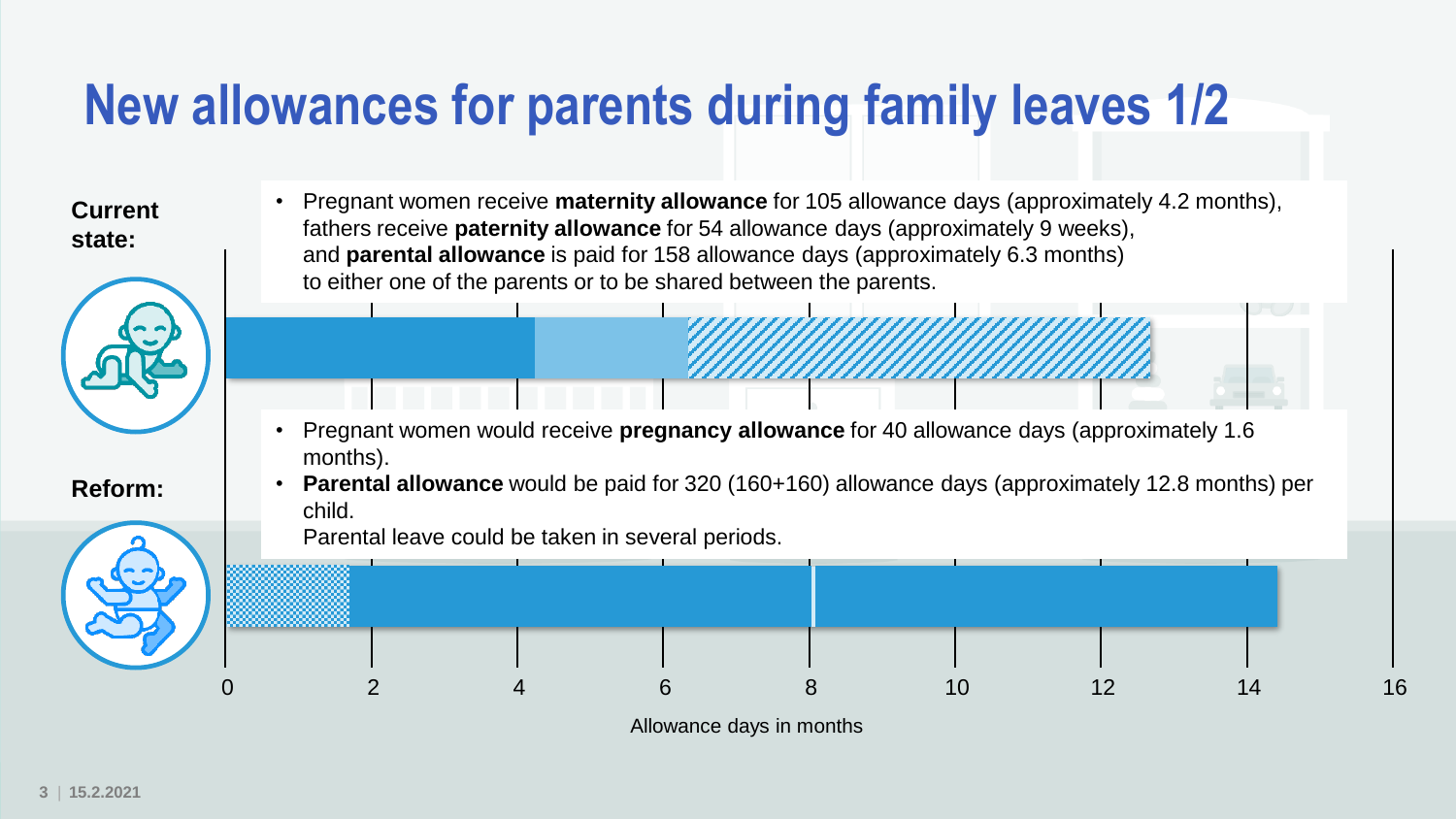#### **New allowances for parents during family leaves 1/2**

**Current state:**



**Reform:**

• Pregnant women receive **maternity allowance** for 105 allowance days (approximately 4.2 months), fathers receive **paternity allowance** for 54 allowance days (approximately 9 weeks), and **parental allowance** is paid for 158 allowance days (approximately 6.3 months) to either one of the parents or to be shared between the parents.

- Pregnant women would receive **pregnancy allowance** for 40 allowance days (approximately 1.6 months).
- **Parental allowance** would be paid for 320 (160+160) allowance days (approximately 12.8 months) per child.

Parental leave could be taken in several periods.



Allowance days in months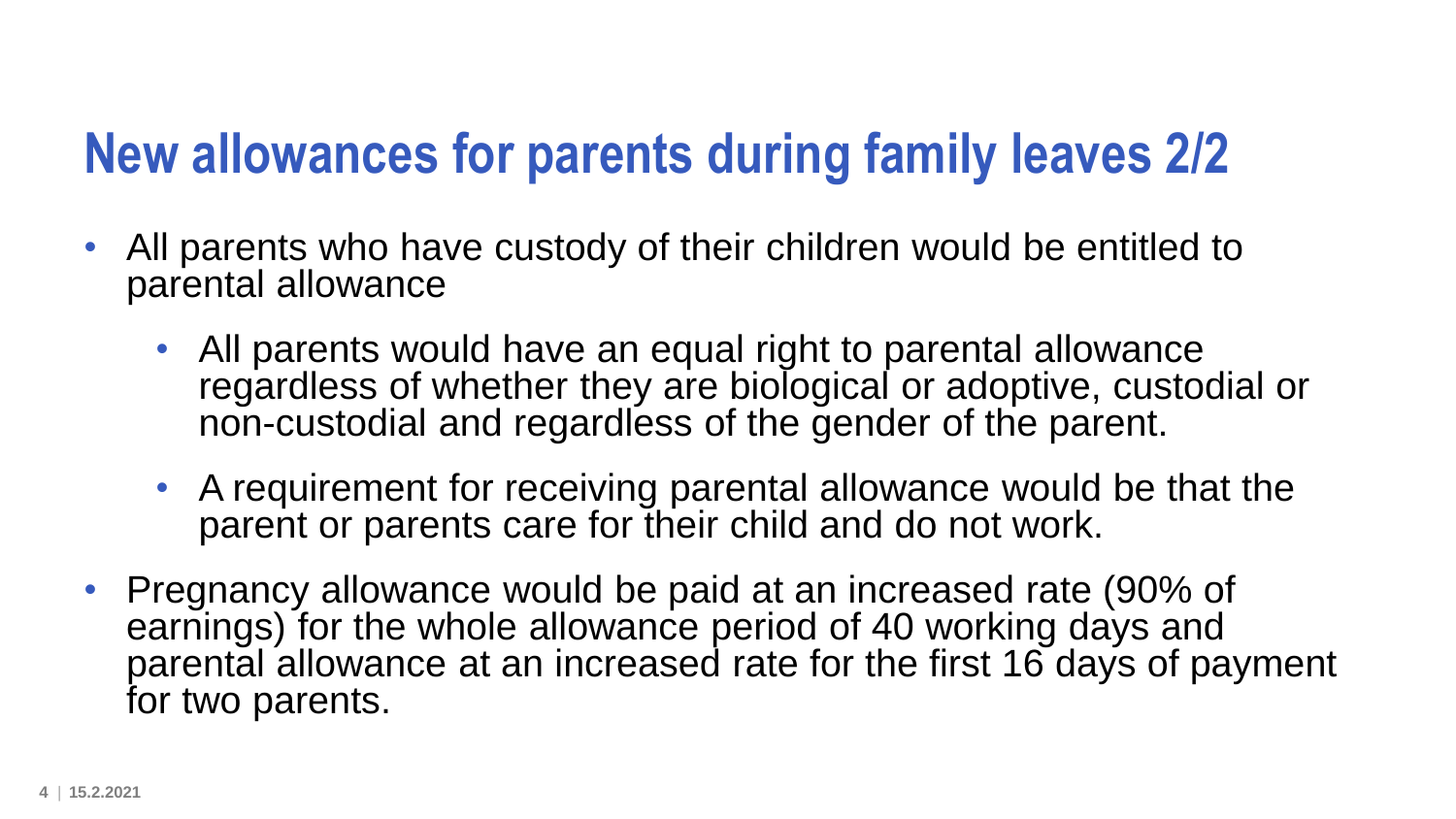#### **New allowances for parents during family leaves 2/2**

- All parents who have custody of their children would be entitled to parental allowance
	- All parents would have an equal right to parental allowance regardless of whether they are biological or adoptive, custodial or non-custodial and regardless of the gender of the parent.
	- A requirement for receiving parental allowance would be that the parent or parents care for their child and do not work.
- Pregnancy allowance would be paid at an increased rate (90% of earnings) for the whole allowance period of 40 working days and parental allowance at an increased rate for the first 16 days of payment for two parents.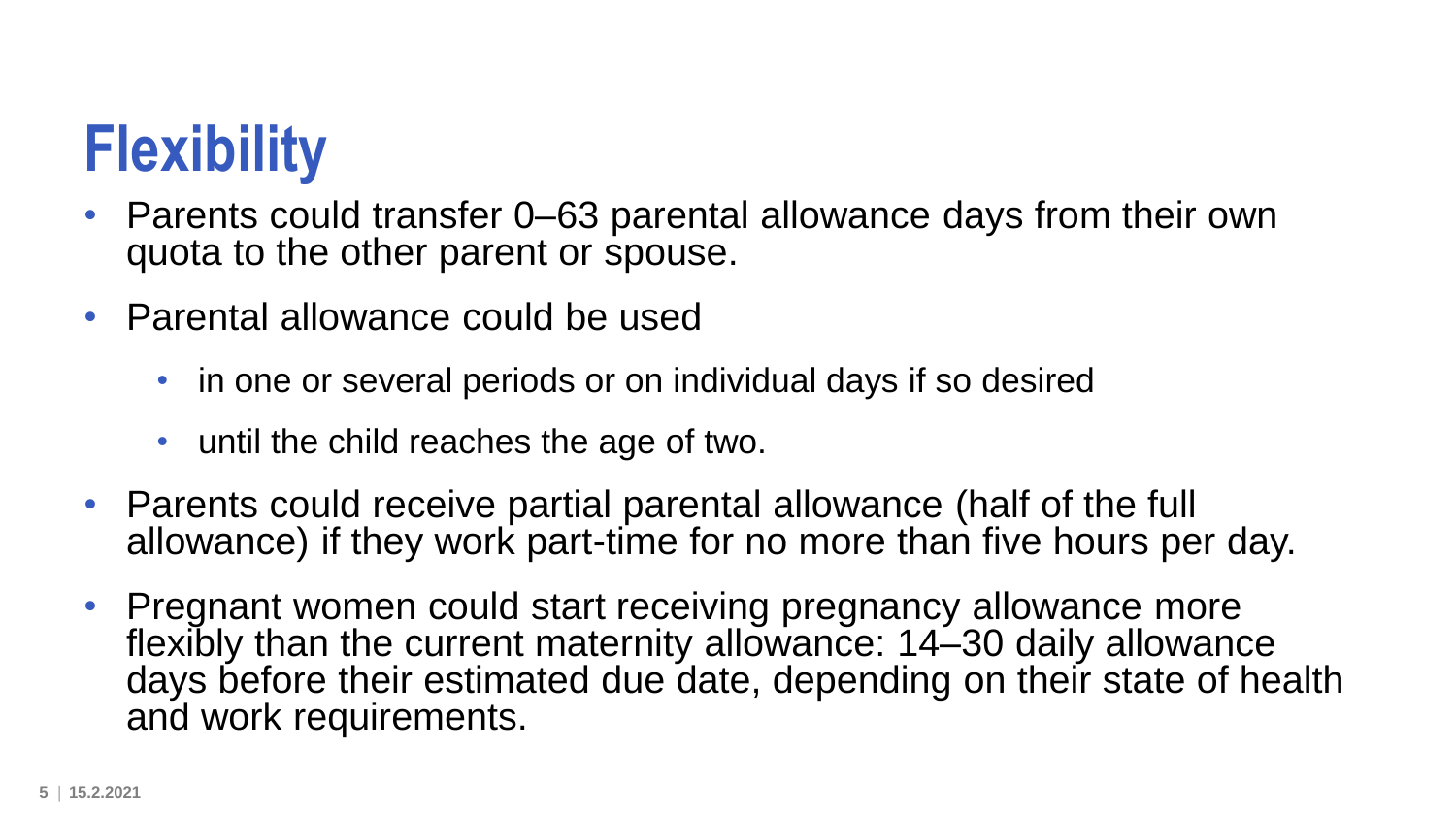# **Flexibility**

- Parents could transfer 0–63 parental allowance days from their own quota to the other parent or spouse.
- Parental allowance could be used
	- in one or several periods or on individual days if so desired
	- until the child reaches the age of two.
- Parents could receive partial parental allowance (half of the full allowance) if they work part-time for no more than five hours per day.
- Pregnant women could start receiving pregnancy allowance more flexibly than the current maternity allowance: 14–30 daily allowance days before their estimated due date, depending on their state of health and work requirements.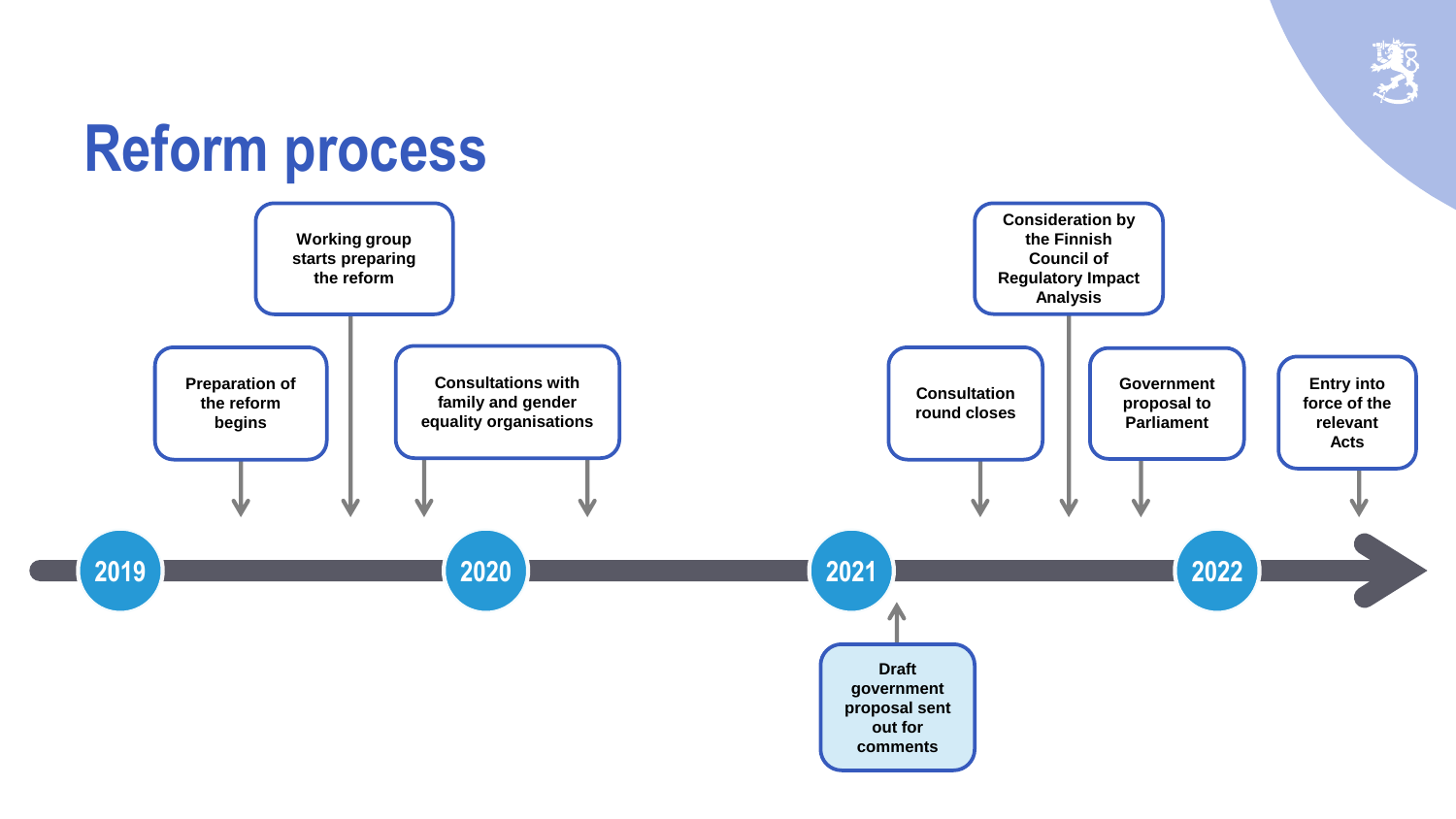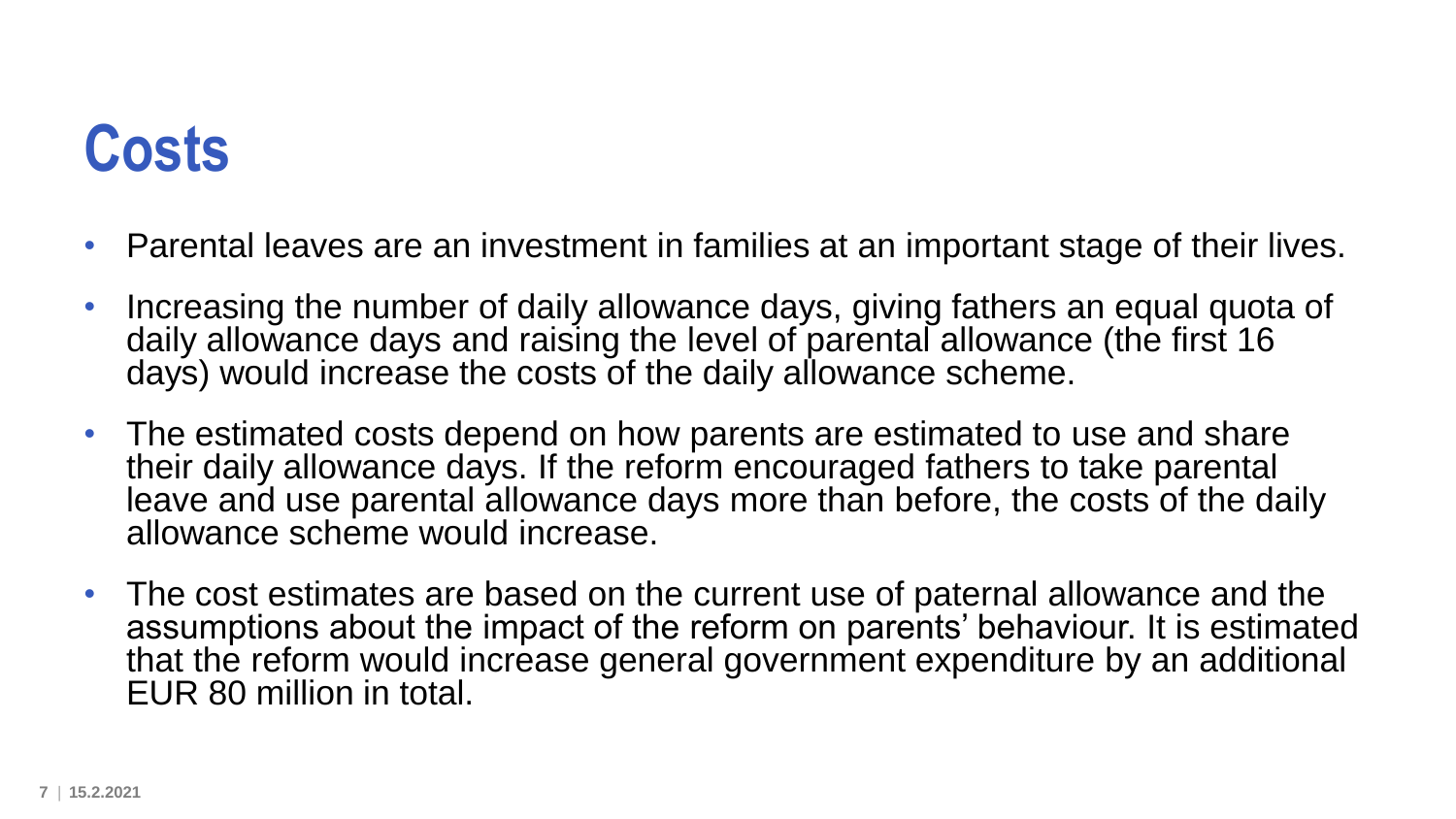#### **Costs**

- Parental leaves are an investment in families at an important stage of their lives.
- Increasing the number of daily allowance days, giving fathers an equal quota of daily allowance days and raising the level of parental allowance (the first 16 days) would increase the costs of the daily allowance scheme.
- The estimated costs depend on how parents are estimated to use and share their daily allowance days. If the reform encouraged fathers to take parental leave and use parental allowance days more than before, the costs of the daily allowance scheme would increase.
- The cost estimates are based on the current use of paternal allowance and the assumptions about the impact of the reform on parents' behaviour. It is estimated that the reform would increase general government expenditure by an additional EUR 80 million in total.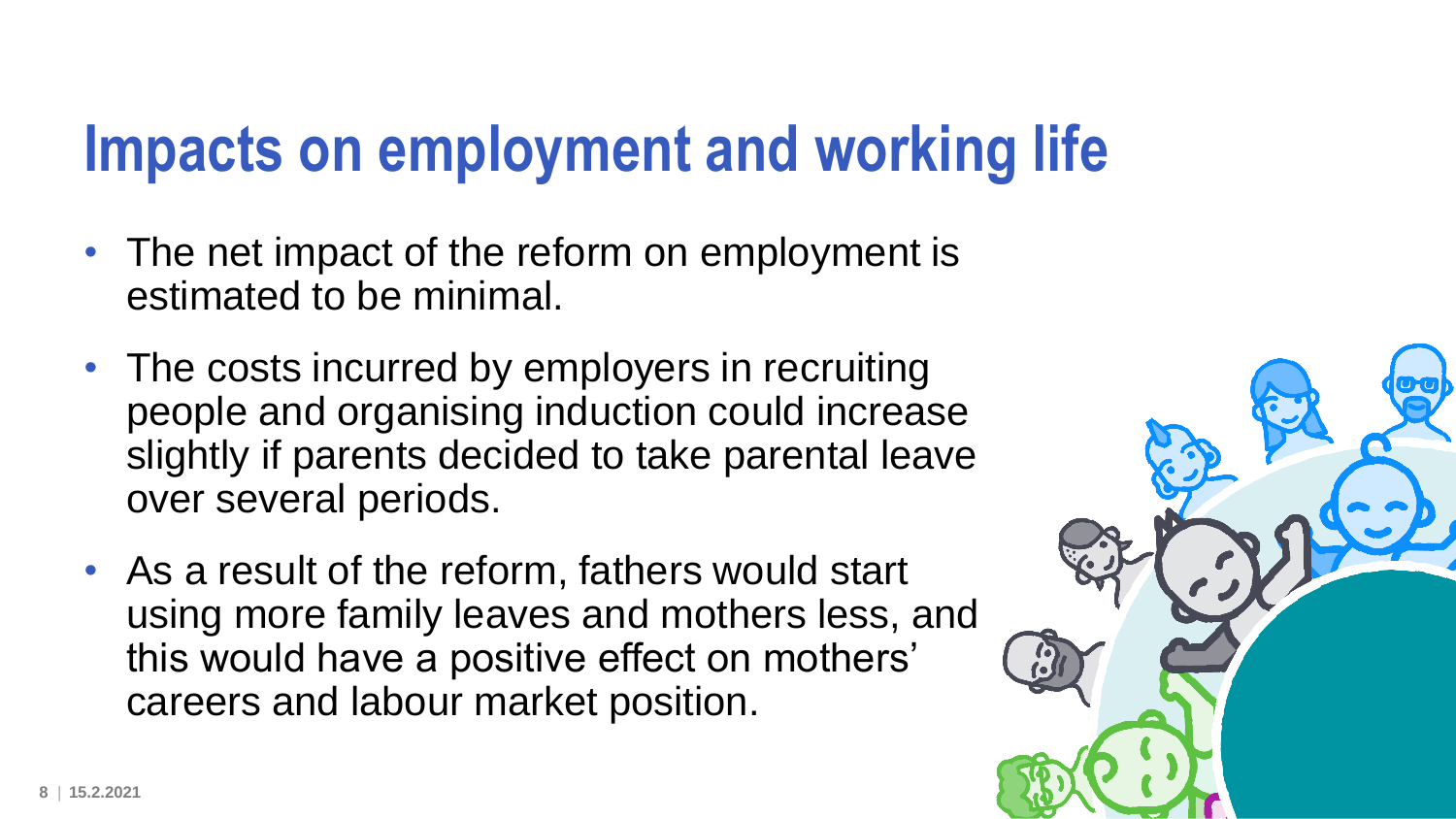## **Impacts on employment and working life**

- The net impact of the reform on employment is estimated to be minimal.
- The costs incurred by employers in recruiting people and organising induction could increase slightly if parents decided to take parental leave over several periods.
- As a result of the reform, fathers would start using more family leaves and mothers less, and this would have a positive effect on mothers' careers and labour market position.

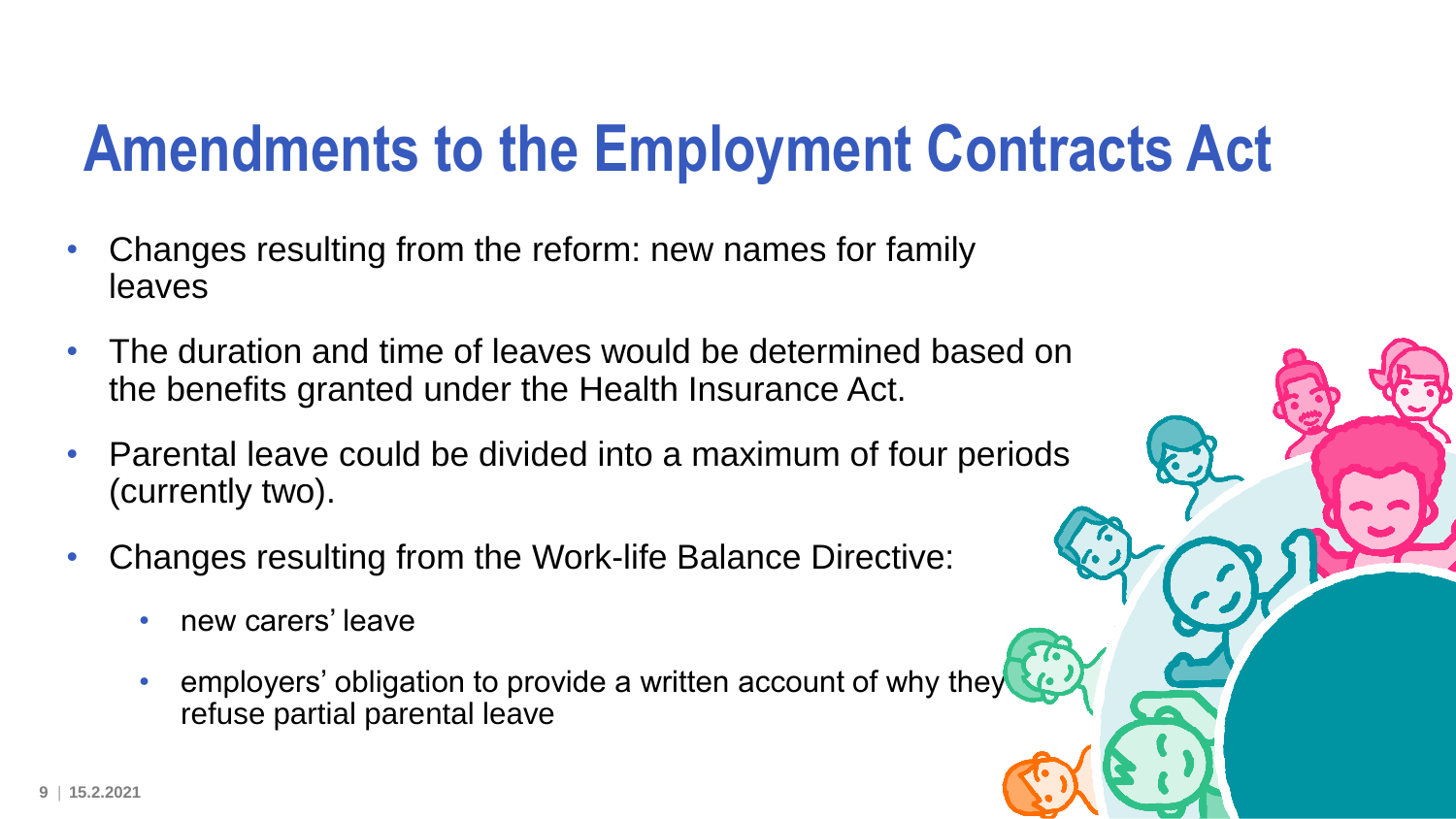## **Amendments to the Employment Contracts Act**

- Changes resulting from the reform: new names for family leaves
- The duration and time of leaves would be determined based on the benefits granted under the Health Insurance Act.
- Parental leave could be divided into a maximum of four periods (currently two).
- Changes resulting from the Work-life Balance Directive:
	- new carers' leave
	- employers' obligation to provide a written account of why they refuse partial parental leave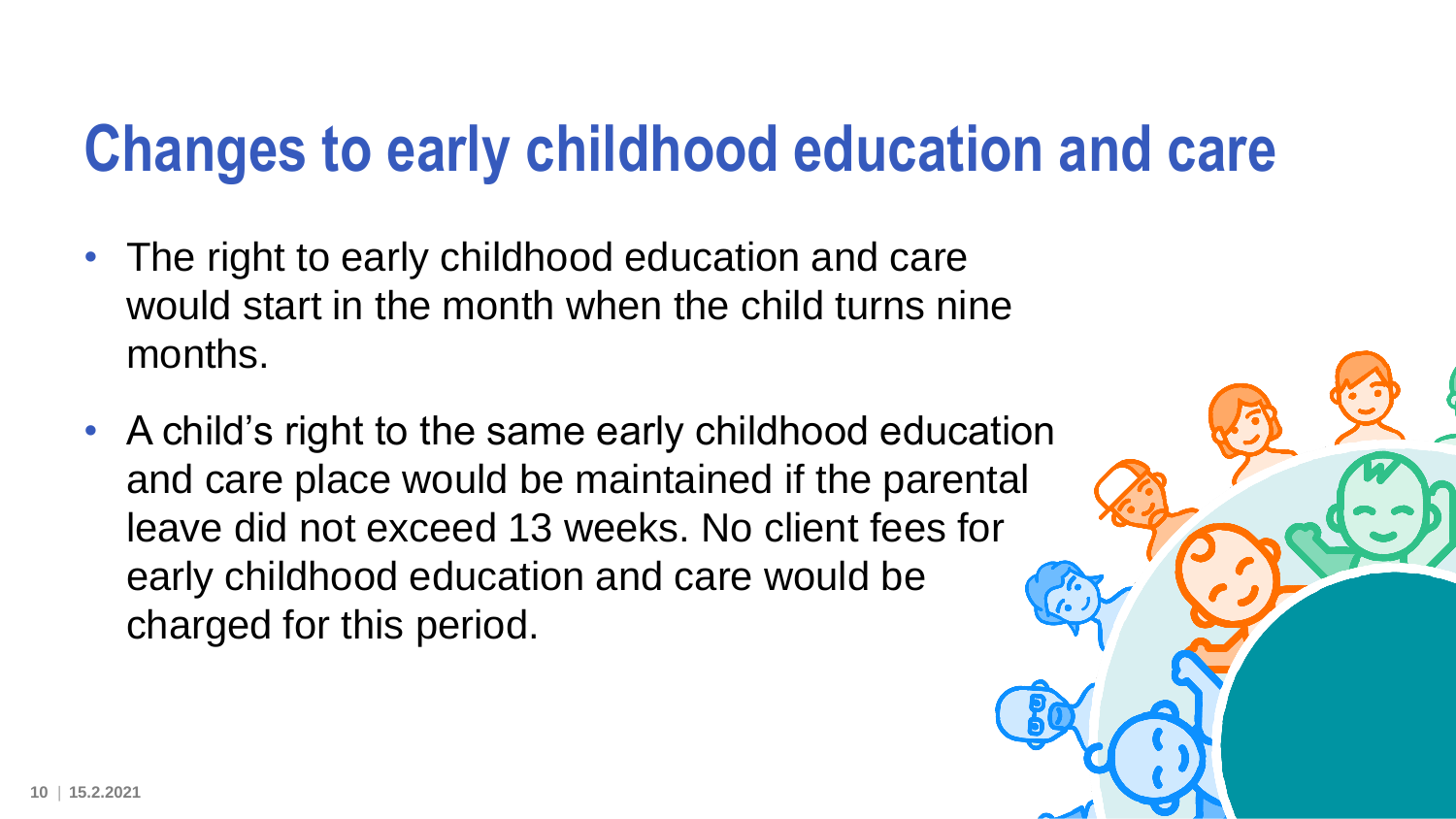### **Changes to early childhood education and care**

- The right to early childhood education and care would start in the month when the child turns nine months.
- A child's right to the same early childhood education and care place would be maintained if the parental leave did not exceed 13 weeks. No client fees for early childhood education and care would be charged for this period.